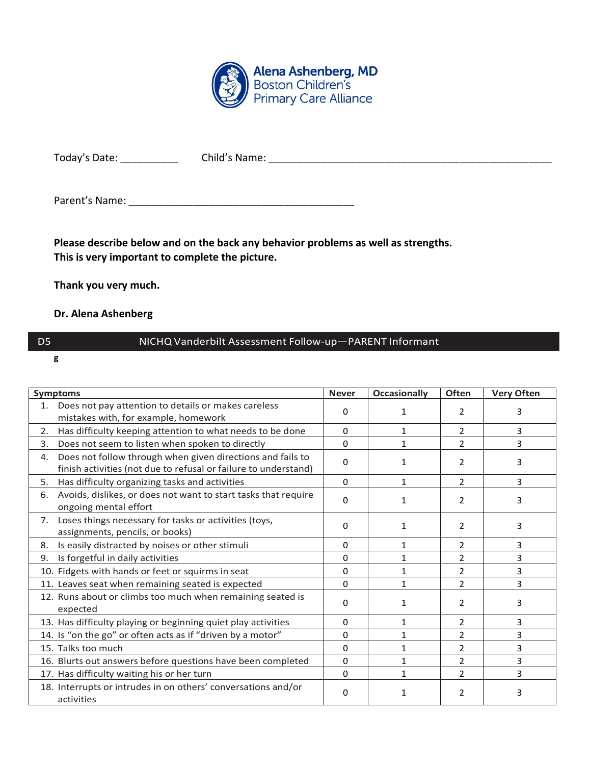

Today's Date: \_\_\_\_\_\_\_\_\_\_\_\_\_\_\_\_\_\_Child's Name: \_\_\_\_\_\_\_\_\_\_\_\_\_\_\_\_\_\_\_\_\_\_\_\_\_\_\_\_\_\_\_\_\_\_\_

Parent's Name: \_\_\_\_\_\_\_\_\_\_\_\_\_\_\_\_\_\_\_\_\_\_\_\_\_\_\_\_\_\_\_\_\_\_\_\_\_\_\_

**Please describe below and on the back any behavior problems as well as strengths. This is very important to complete the picture.**

**Thank you very much.**

## **Dr. Alena Ashenberg**

## D5 NICHQVanderbilt Assessment Follow-up—PARENT Informant

**g**

| <b>Symptoms</b>                                                                                                                     | <b>Never</b> | <b>Occasionally</b> | <b>Often</b>   | <b>Very Often</b> |
|-------------------------------------------------------------------------------------------------------------------------------------|--------------|---------------------|----------------|-------------------|
| Does not pay attention to details or makes careless<br>1.<br>mistakes with, for example, homework                                   | 0            |                     | $\mathcal{P}$  | 3                 |
| Has difficulty keeping attention to what needs to be done<br>2.                                                                     | $\Omega$     | $\mathbf{1}$        | $\overline{2}$ | 3                 |
| Does not seem to listen when spoken to directly<br>3.                                                                               | 0            |                     | $\overline{2}$ | 3                 |
| Does not follow through when given directions and fails to<br>4.<br>finish activities (not due to refusal or failure to understand) | 0            | 1                   | 2              | 3                 |
| Has difficulty organizing tasks and activities<br>5.                                                                                | 0            | 1                   | $\overline{2}$ | $\overline{3}$    |
| Avoids, dislikes, or does not want to start tasks that require<br>6.<br>ongoing mental effort                                       | 0            |                     | 2              | 3                 |
| Loses things necessary for tasks or activities (toys,<br>7.<br>assignments, pencils, or books)                                      | $\Omega$     | 1                   | $\overline{2}$ | 3                 |
| Is easily distracted by noises or other stimuli<br>8.                                                                               | $\Omega$     | 1                   | $\overline{2}$ | 3                 |
| Is forgetful in daily activities<br>9.                                                                                              | 0            | 1                   | $\overline{2}$ | 3                 |
| 10. Fidgets with hands or feet or squirms in seat                                                                                   | 0            | 1                   | $\overline{2}$ | 3                 |
| 11. Leaves seat when remaining seated is expected                                                                                   | $\Omega$     | 1                   | $\mathfrak{p}$ | 3                 |
| 12. Runs about or climbs too much when remaining seated is<br>expected                                                              | 0            | 1                   | $\mathfrak{p}$ | 3                 |
| 13. Has difficulty playing or beginning quiet play activities                                                                       | 0            | 1                   | $\overline{2}$ | 3                 |
| 14. Is "on the go" or often acts as if "driven by a motor"                                                                          | 0            | 1                   | $\overline{2}$ | 3                 |
| 15. Talks too much                                                                                                                  | $\Omega$     | 1                   | 2              | 3                 |
| 16. Blurts out answers before questions have been completed                                                                         | 0            | 1                   | $\overline{2}$ | 3                 |
| 17. Has difficulty waiting his or her turn                                                                                          | $\Omega$     | 1                   | $\mathfrak{p}$ | 3                 |
| 18. Interrupts or intrudes in on others' conversations and/or<br>activities                                                         | 0            |                     | 2              | 3                 |